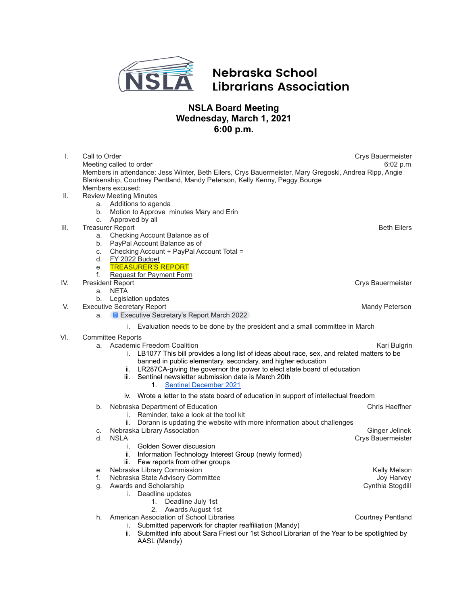

## Nebraska School **Librarians Association**

## **NSLA Board Meeting Wednesday, March 1, 2021 6:00 p.m.**

| $\mathbf{L}$ | Call to Order<br>Meeting called to order                                                                                                                                                                                                                                                                                                                                                         | Crys Bauermeister<br>6:02 p.m |
|--------------|--------------------------------------------------------------------------------------------------------------------------------------------------------------------------------------------------------------------------------------------------------------------------------------------------------------------------------------------------------------------------------------------------|-------------------------------|
|              | Members in attendance: Jess Winter, Beth Eilers, Crys Bauermeister, Mary Gregoski, Andrea Ripp, Angie<br>Blankenship, Courtney Pentland, Mandy Peterson, Kelly Kenny, Peggy Bourge<br>Members excused:                                                                                                                                                                                           |                               |
| Ш.           | <b>Review Meeting Minutes</b>                                                                                                                                                                                                                                                                                                                                                                    |                               |
|              | Additions to agenda<br>а.                                                                                                                                                                                                                                                                                                                                                                        |                               |
|              | b.<br>Motion to Approve minutes Mary and Erin                                                                                                                                                                                                                                                                                                                                                    |                               |
|              | Approved by all<br>c.                                                                                                                                                                                                                                                                                                                                                                            |                               |
| III.         | <b>Treasurer Report</b>                                                                                                                                                                                                                                                                                                                                                                          | <b>Beth Eilers</b>            |
|              | Checking Account Balance as of<br>a.                                                                                                                                                                                                                                                                                                                                                             |                               |
|              | PayPal Account Balance as of<br>b.                                                                                                                                                                                                                                                                                                                                                               |                               |
|              | Checking Account + PayPal Account Total =<br>C.                                                                                                                                                                                                                                                                                                                                                  |                               |
|              | FY 2022 Budget<br>d.                                                                                                                                                                                                                                                                                                                                                                             |                               |
|              | <b>TREASURER'S REPORT</b><br>е.                                                                                                                                                                                                                                                                                                                                                                  |                               |
|              | f.<br><b>Request for Payment Form</b>                                                                                                                                                                                                                                                                                                                                                            |                               |
| IV.          | <b>President Report</b>                                                                                                                                                                                                                                                                                                                                                                          | Crys Bauermeister             |
|              | <b>NETA</b><br>a.                                                                                                                                                                                                                                                                                                                                                                                |                               |
|              | Legislation updates<br>b.                                                                                                                                                                                                                                                                                                                                                                        |                               |
| V.           | <b>Executive Secretary Report</b>                                                                                                                                                                                                                                                                                                                                                                | Mandy Peterson                |
|              | <b>E</b> Executive Secretary's Report March 2022<br>a.                                                                                                                                                                                                                                                                                                                                           |                               |
|              | Evaluation needs to be done by the president and a small committee in March<br>I.                                                                                                                                                                                                                                                                                                                |                               |
| VI.          | <b>Committee Reports</b>                                                                                                                                                                                                                                                                                                                                                                         |                               |
|              | <b>Academic Freedom Coalition</b><br>a.<br>LB1077 This bill provides a long list of ideas about race, sex, and related matters to be<br>L.<br>banned in public elementary, secondary, and higher education<br>LR287CA-giving the governor the power to elect state board of education<br>II.<br>Sentinel newsletter submission date is March 20th<br>iii.<br><b>Sentinel December 2021</b><br>1. | Kari Bulgrin                  |
|              | iv. Wrote a letter to the state board of education in support of intellectual freedom                                                                                                                                                                                                                                                                                                            |                               |
|              | Nebraska Department of Education<br>b.                                                                                                                                                                                                                                                                                                                                                           | <b>Chris Haeffner</b>         |
|              | i. Reminder, take a look at the tool kit                                                                                                                                                                                                                                                                                                                                                         |                               |
|              | Dorann is updating the website with more information about challenges                                                                                                                                                                                                                                                                                                                            |                               |
|              | Nebraska Library Association<br>С.                                                                                                                                                                                                                                                                                                                                                               | Ginger Jelinek                |
|              | <b>NSLA</b><br>d.                                                                                                                                                                                                                                                                                                                                                                                | Crys Bauermeister             |
|              | Golden Sower discussion<br>i.                                                                                                                                                                                                                                                                                                                                                                    |                               |
|              | Information Technology Interest Group (newly formed)<br>ii.                                                                                                                                                                                                                                                                                                                                      |                               |
|              | Few reports from other groups<br>III.                                                                                                                                                                                                                                                                                                                                                            |                               |
|              | Nebraska Library Commission<br>е.                                                                                                                                                                                                                                                                                                                                                                | Kelly Melson                  |
|              | Nebraska State Advisory Committee<br>f.                                                                                                                                                                                                                                                                                                                                                          | Joy Harvey                    |
|              | Awards and Scholarship<br>g.                                                                                                                                                                                                                                                                                                                                                                     | Cynthia Stogdill              |
|              | i. Deadline updates                                                                                                                                                                                                                                                                                                                                                                              |                               |
|              | 1. Deadline July 1st<br>Awards August 1st<br>2.                                                                                                                                                                                                                                                                                                                                                  |                               |
|              | American Association of School Libraries<br>h.                                                                                                                                                                                                                                                                                                                                                   | <b>Courtney Pentland</b>      |
|              | i. Submitted paperwork for chapter reaffiliation (Mandy)                                                                                                                                                                                                                                                                                                                                         |                               |
|              | Submitted info about Sara Friest our 1st School Librarian of the Year to be spotlighted by<br>ii.<br>AASL (Mandy)                                                                                                                                                                                                                                                                                |                               |
|              |                                                                                                                                                                                                                                                                                                                                                                                                  |                               |